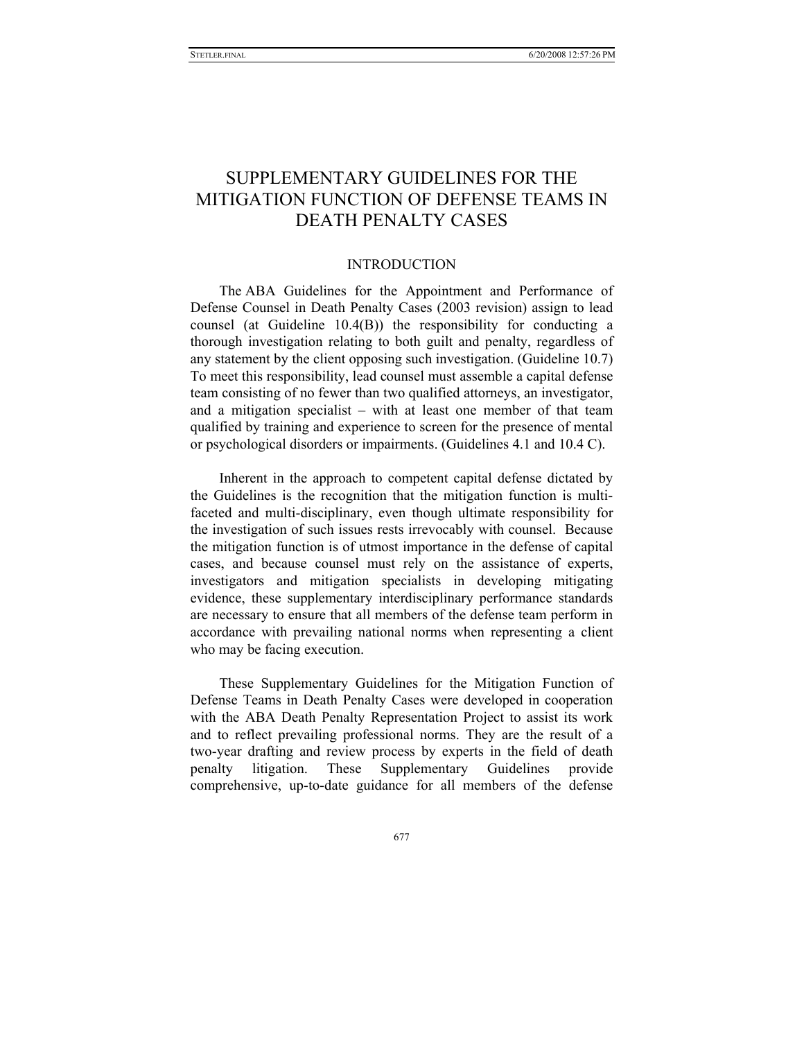# SUPPLEMENTARY GUIDELINES FOR THE MITIGATION FUNCTION OF DEFENSE TEAMS IN DEATH PENALTY CASES

### INTRODUCTION

The ABA Guidelines for the Appointment and Performance of Defense Counsel in Death Penalty Cases (2003 revision) assign to lead counsel (at Guideline 10.4(B)) the responsibility for conducting a thorough investigation relating to both guilt and penalty, regardless of any statement by the client opposing such investigation. (Guideline 10.7) To meet this responsibility, lead counsel must assemble a capital defense team consisting of no fewer than two qualified attorneys, an investigator, and a mitigation specialist – with at least one member of that team qualified by training and experience to screen for the presence of mental or psychological disorders or impairments. (Guidelines 4.1 and 10.4 C).

Inherent in the approach to competent capital defense dictated by the Guidelines is the recognition that the mitigation function is multifaceted and multi-disciplinary, even though ultimate responsibility for the investigation of such issues rests irrevocably with counsel. Because the mitigation function is of utmost importance in the defense of capital cases, and because counsel must rely on the assistance of experts, investigators and mitigation specialists in developing mitigating evidence, these supplementary interdisciplinary performance standards are necessary to ensure that all members of the defense team perform in accordance with prevailing national norms when representing a client who may be facing execution.

These Supplementary Guidelines for the Mitigation Function of Defense Teams in Death Penalty Cases were developed in cooperation with the ABA Death Penalty Representation Project to assist its work and to reflect prevailing professional norms. They are the result of a two-year drafting and review process by experts in the field of death penalty litigation. These Supplementary Guidelines provide comprehensive, up-to-date guidance for all members of the defense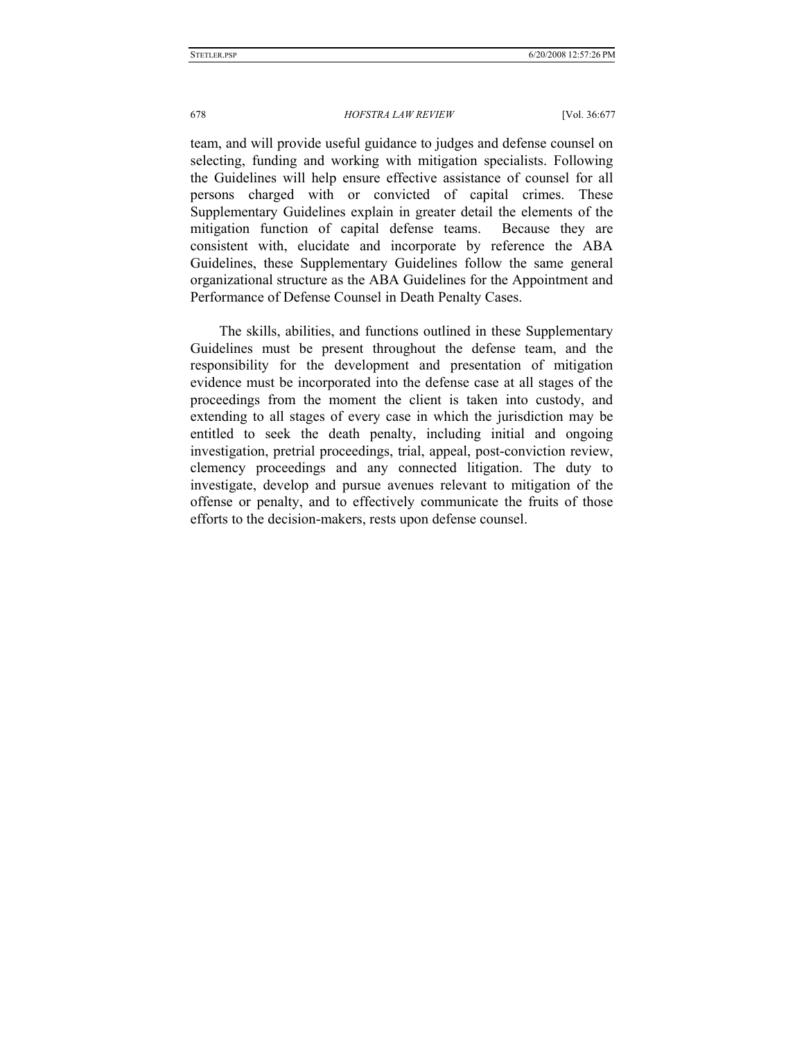team, and will provide useful guidance to judges and defense counsel on selecting, funding and working with mitigation specialists. Following the Guidelines will help ensure effective assistance of counsel for all persons charged with or convicted of capital crimes. These Supplementary Guidelines explain in greater detail the elements of the mitigation function of capital defense teams. Because they are consistent with, elucidate and incorporate by reference the ABA Guidelines, these Supplementary Guidelines follow the same general organizational structure as the ABA Guidelines for the Appointment and Performance of Defense Counsel in Death Penalty Cases.

The skills, abilities, and functions outlined in these Supplementary Guidelines must be present throughout the defense team, and the responsibility for the development and presentation of mitigation evidence must be incorporated into the defense case at all stages of the proceedings from the moment the client is taken into custody, and extending to all stages of every case in which the jurisdiction may be entitled to seek the death penalty, including initial and ongoing investigation, pretrial proceedings, trial, appeal, post-conviction review, clemency proceedings and any connected litigation. The duty to investigate, develop and pursue avenues relevant to mitigation of the offense or penalty, and to effectively communicate the fruits of those efforts to the decision-makers, rests upon defense counsel.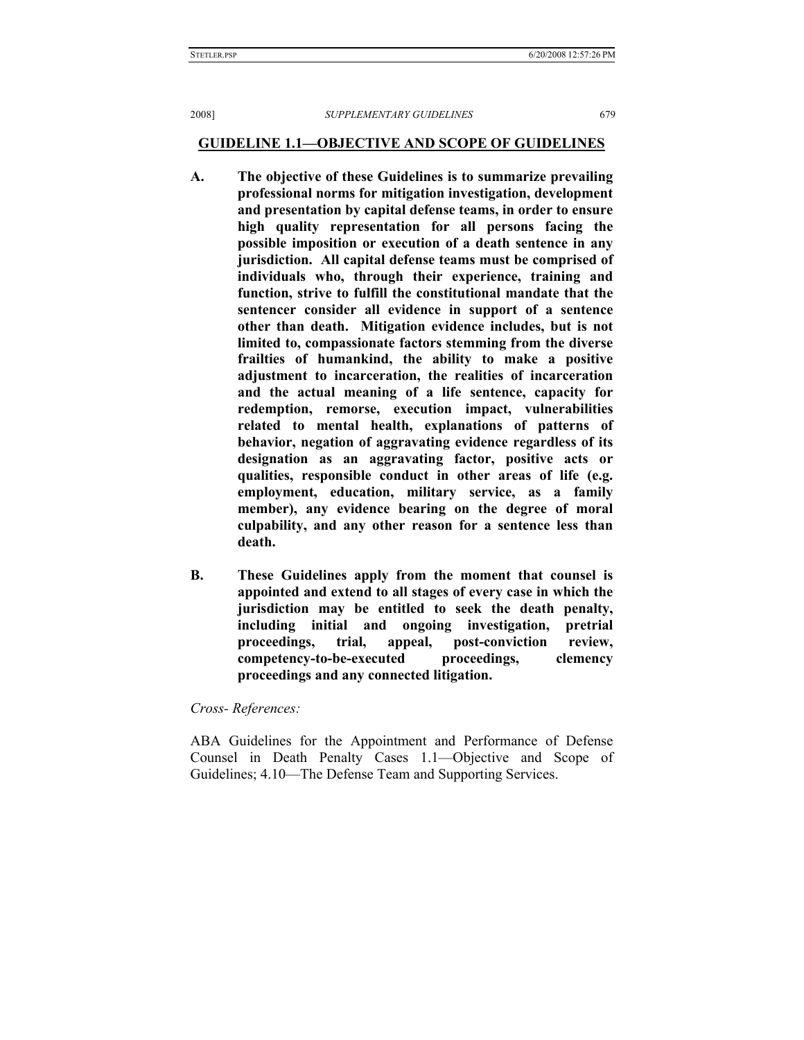# **GUIDELINE 1.1—OBJECTIVE AND SCOPE OF GUIDELINES**

- **A. The objective of these Guidelines is to summarize prevailing professional norms for mitigation investigation, development and presentation by capital defense teams, in order to ensure high quality representation for all persons facing the possible imposition or execution of a death sentence in any jurisdiction. All capital defense teams must be comprised of individuals who, through their experience, training and function, strive to fulfill the constitutional mandate that the sentencer consider all evidence in support of a sentence other than death. Mitigation evidence includes, but is not limited to, compassionate factors stemming from the diverse frailties of humankind, the ability to make a positive adjustment to incarceration, the realities of incarceration and the actual meaning of a life sentence, capacity for redemption, remorse, execution impact, vulnerabilities related to mental health, explanations of patterns of behavior, negation of aggravating evidence regardless of its designation as an aggravating factor, positive acts or qualities, responsible conduct in other areas of life (e.g. employment, education, military service, as a family member), any evidence bearing on the degree of moral culpability, and any other reason for a sentence less than death.**
- **B. These Guidelines apply from the moment that counsel is appointed and extend to all stages of every case in which the jurisdiction may be entitled to seek the death penalty, including initial and ongoing investigation, pretrial proceedings, trial, appeal, post-conviction review, competency-to-be-executed proceedings, clemency proceedings and any connected litigation.**

*Cross- References:* 

ABA Guidelines for the Appointment and Performance of Defense Counsel in Death Penalty Cases 1.1—Objective and Scope of Guidelines; 4.10—The Defense Team and Supporting Services.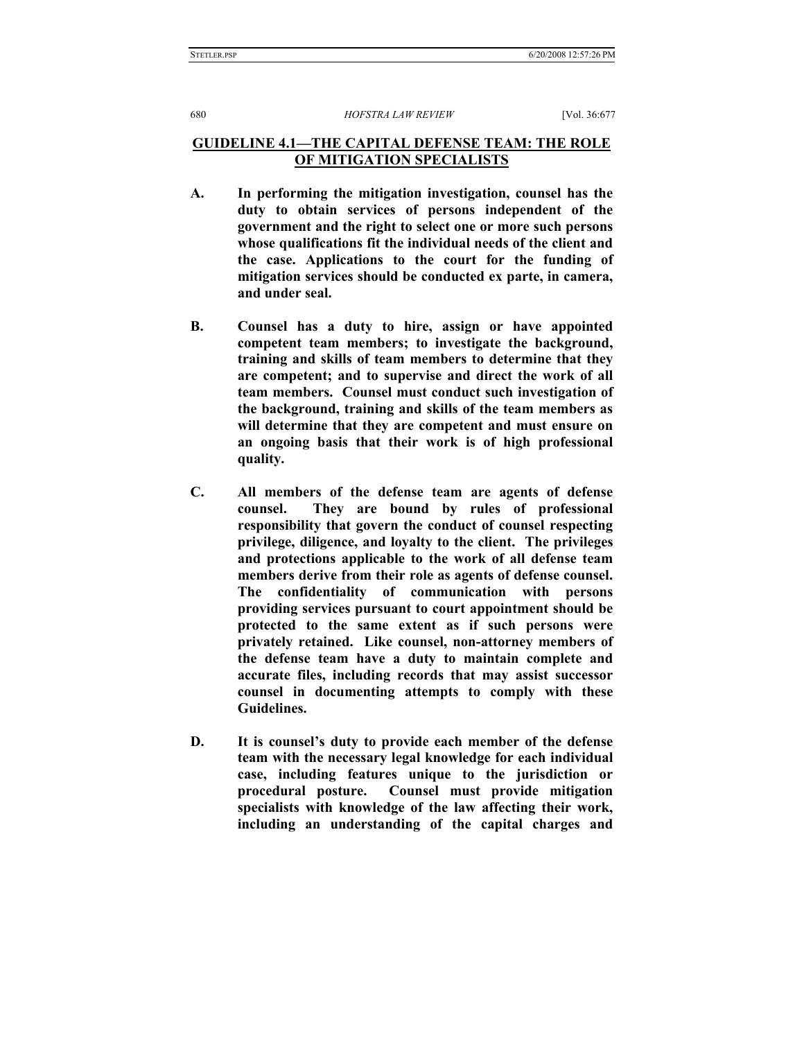# **GUIDELINE 4.1—THE CAPITAL DEFENSE TEAM: THE ROLE OF MITIGATION SPECIALISTS**

- **A. In performing the mitigation investigation, counsel has the duty to obtain services of persons independent of the government and the right to select one or more such persons whose qualifications fit the individual needs of the client and the case. Applications to the court for the funding of mitigation services should be conducted ex parte, in camera, and under seal.**
- **B. Counsel has a duty to hire, assign or have appointed competent team members; to investigate the background, training and skills of team members to determine that they are competent; and to supervise and direct the work of all team members. Counsel must conduct such investigation of the background, training and skills of the team members as will determine that they are competent and must ensure on an ongoing basis that their work is of high professional quality.**
- **C. All members of the defense team are agents of defense counsel. They are bound by rules of professional responsibility that govern the conduct of counsel respecting privilege, diligence, and loyalty to the client. The privileges and protections applicable to the work of all defense team members derive from their role as agents of defense counsel. The confidentiality of communication with persons providing services pursuant to court appointment should be protected to the same extent as if such persons were privately retained. Like counsel, non-attorney members of the defense team have a duty to maintain complete and accurate files, including records that may assist successor counsel in documenting attempts to comply with these Guidelines.**
- **D. It is counsel's duty to provide each member of the defense team with the necessary legal knowledge for each individual case, including features unique to the jurisdiction or procedural posture. Counsel must provide mitigation specialists with knowledge of the law affecting their work, including an understanding of the capital charges and**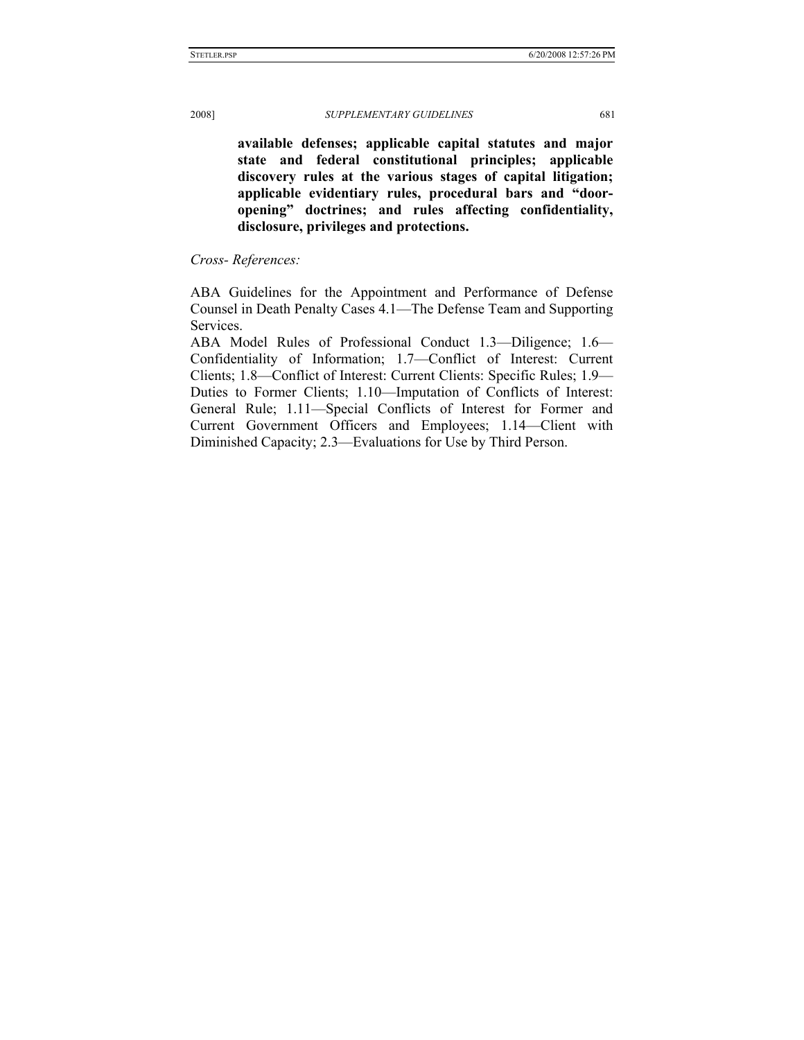**available defenses; applicable capital statutes and major state and federal constitutional principles; applicable discovery rules at the various stages of capital litigation; applicable evidentiary rules, procedural bars and "dooropening" doctrines; and rules affecting confidentiality, disclosure, privileges and protections.** 

*Cross- References:* 

ABA Guidelines for the Appointment and Performance of Defense Counsel in Death Penalty Cases 4.1—The Defense Team and Supporting Services.

ABA Model Rules of Professional Conduct 1.3—Diligence; 1.6— Confidentiality of Information; 1.7—Conflict of Interest: Current Clients; 1.8—Conflict of Interest: Current Clients: Specific Rules; 1.9— Duties to Former Clients; 1.10—Imputation of Conflicts of Interest: General Rule; 1.11—Special Conflicts of Interest for Former and Current Government Officers and Employees; 1.14—Client with Diminished Capacity; 2.3—Evaluations for Use by Third Person.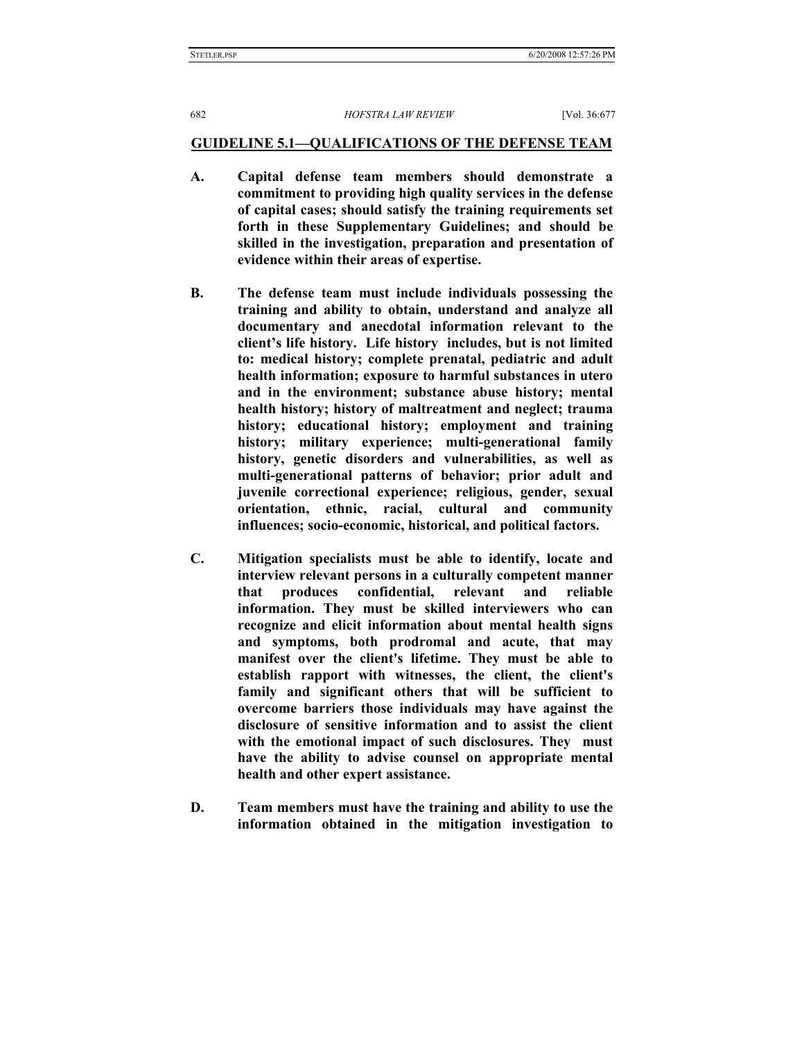#### **GUIDELINE 5.1—QUALIFICATIONS OF THE DEFENSE TEAM**

- **A. Capital defense team members should demonstrate a commitment to providing high quality services in the defense of capital cases; should satisfy the training requirements set forth in these Supplementary Guidelines; and should be skilled in the investigation, preparation and presentation of evidence within their areas of expertise.**
- **B. The defense team must include individuals possessing the training and ability to obtain, understand and analyze all documentary and anecdotal information relevant to the client's life history. Life history includes, but is not limited to: medical history; complete prenatal, pediatric and adult health information; exposure to harmful substances in utero and in the environment; substance abuse history; mental health history; history of maltreatment and neglect; trauma history; educational history; employment and training history; military experience; multi-generational family history, genetic disorders and vulnerabilities, as well as multi-generational patterns of behavior; prior adult and juvenile correctional experience; religious, gender, sexual orientation, ethnic, racial, cultural and community influences; socio-economic, historical, and political factors.**
- **C. Mitigation specialists must be able to identify, locate and interview relevant persons in a culturally competent manner that produces confidential, relevant and reliable information. They must be skilled interviewers who can recognize and elicit information about mental health signs and symptoms, both prodromal and acute, that may manifest over the client's lifetime. They must be able to establish rapport with witnesses, the client, the client's family and significant others that will be sufficient to overcome barriers those individuals may have against the disclosure of sensitive information and to assist the client with the emotional impact of such disclosures. They must have the ability to advise counsel on appropriate mental health and other expert assistance.**
- **D. Team members must have the training and ability to use the information obtained in the mitigation investigation to**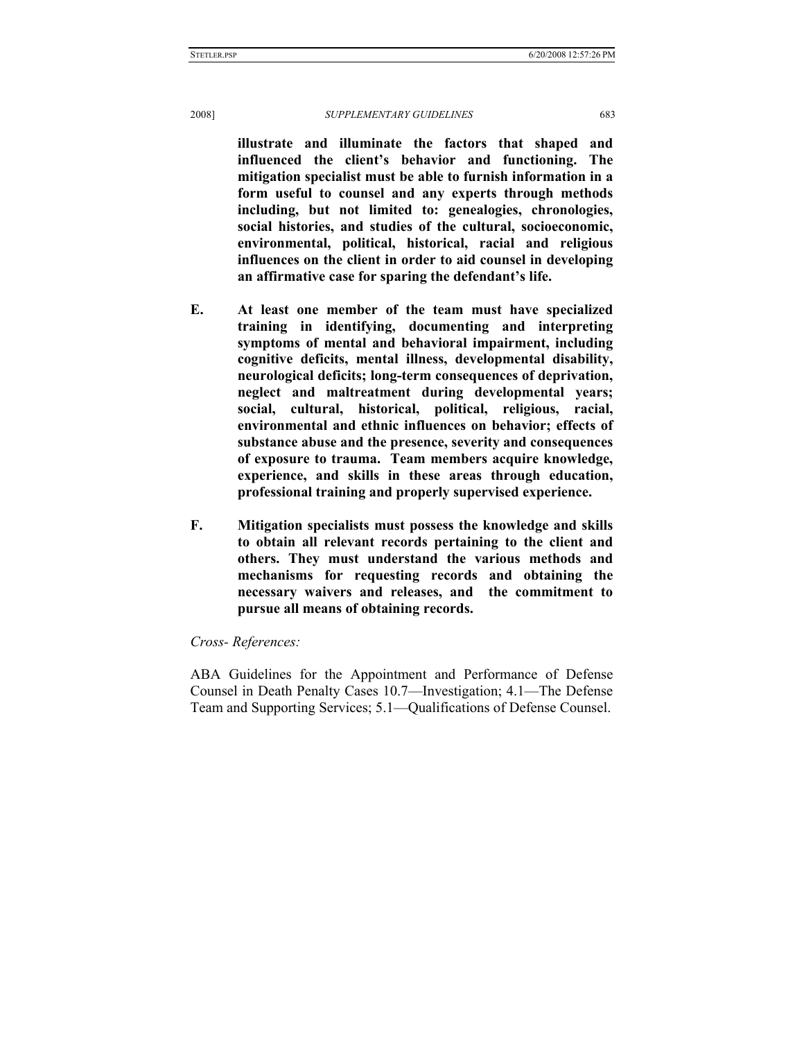**illustrate and illuminate the factors that shaped and influenced the client's behavior and functioning. The mitigation specialist must be able to furnish information in a form useful to counsel and any experts through methods including, but not limited to: genealogies, chronologies, social histories, and studies of the cultural, socioeconomic, environmental, political, historical, racial and religious influences on the client in order to aid counsel in developing an affirmative case for sparing the defendant's life.** 

- **E. At least one member of the team must have specialized training in identifying, documenting and interpreting symptoms of mental and behavioral impairment, including cognitive deficits, mental illness, developmental disability, neurological deficits; long-term consequences of deprivation, neglect and maltreatment during developmental years; social, cultural, historical, political, religious, racial, environmental and ethnic influences on behavior; effects of substance abuse and the presence, severity and consequences of exposure to trauma. Team members acquire knowledge, experience, and skills in these areas through education, professional training and properly supervised experience.**
- **F. Mitigation specialists must possess the knowledge and skills to obtain all relevant records pertaining to the client and others. They must understand the various methods and mechanisms for requesting records and obtaining the necessary waivers and releases, and the commitment to pursue all means of obtaining records.**

### *Cross- References:*

ABA Guidelines for the Appointment and Performance of Defense Counsel in Death Penalty Cases 10.7—Investigation; 4.1—The Defense Team and Supporting Services; 5.1—Qualifications of Defense Counsel.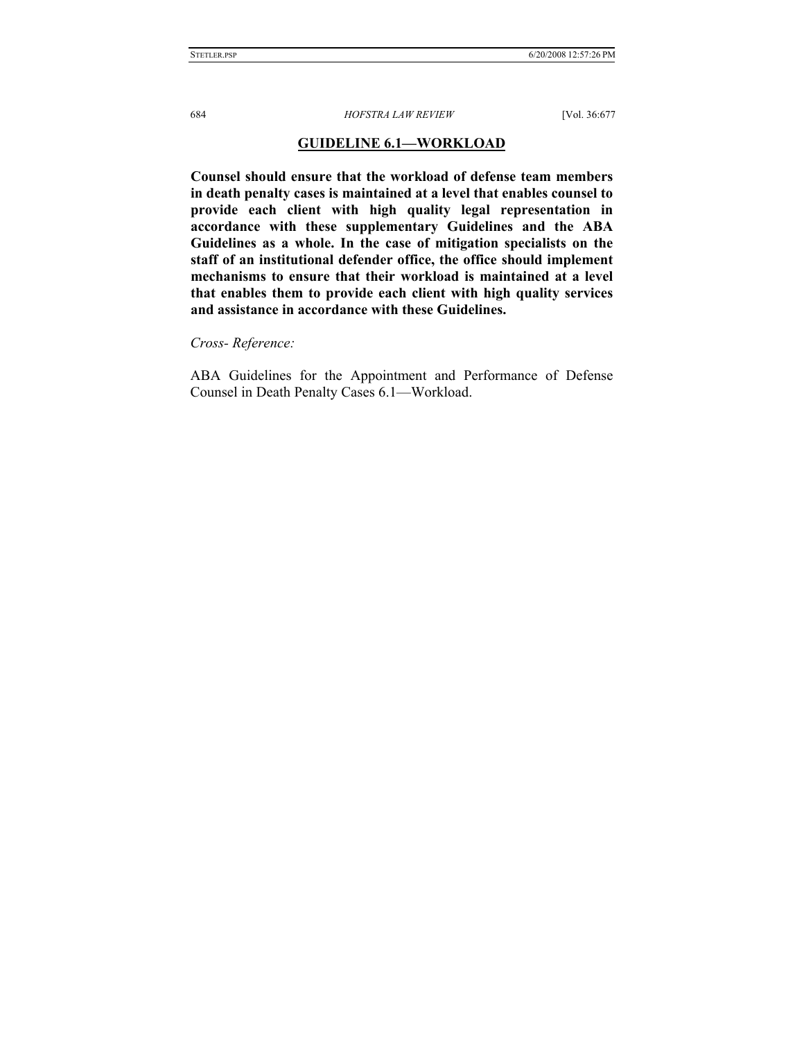### **GUIDELINE 6.1—WORKLOAD**

**Counsel should ensure that the workload of defense team members in death penalty cases is maintained at a level that enables counsel to provide each client with high quality legal representation in accordance with these supplementary Guidelines and the ABA Guidelines as a whole. In the case of mitigation specialists on the staff of an institutional defender office, the office should implement mechanisms to ensure that their workload is maintained at a level that enables them to provide each client with high quality services and assistance in accordance with these Guidelines.** 

*Cross- Reference:*

ABA Guidelines for the Appointment and Performance of Defense Counsel in Death Penalty Cases 6.1—Workload.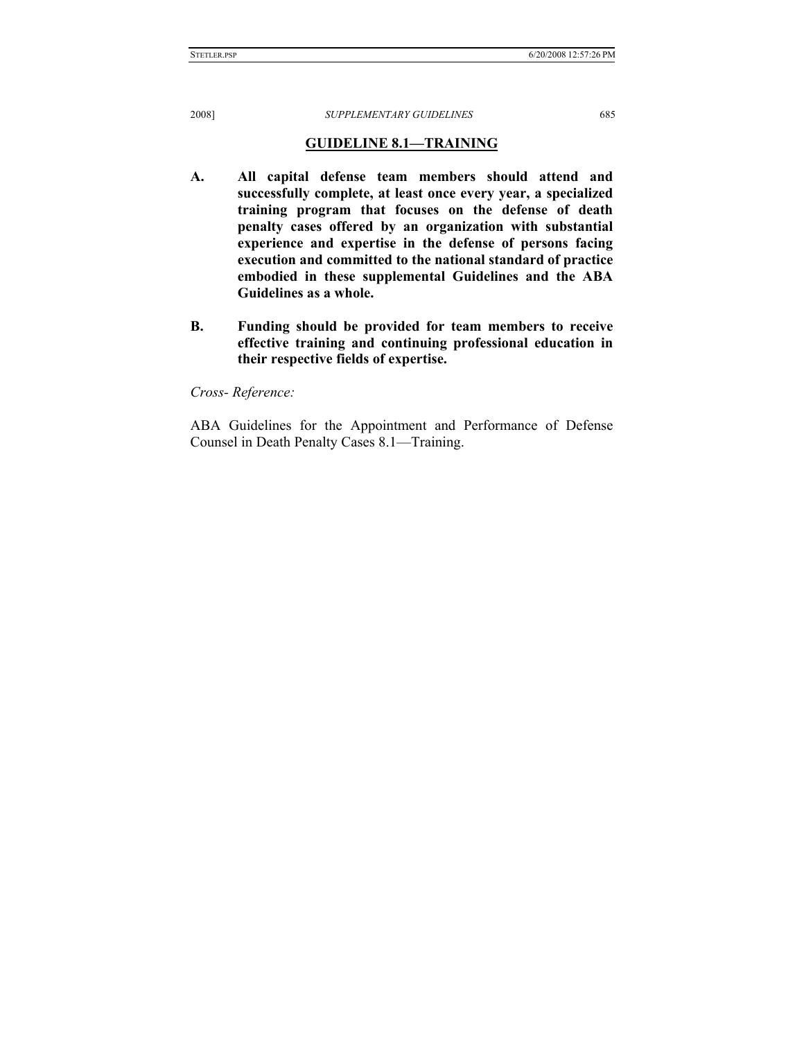STETLER.PSP 6/20/2008 12:57:26 PM

2008] *SUPPLEMENTARY GUIDELINES* 685

# **GUIDELINE 8.1—TRAINING**

- **A. All capital defense team members should attend and successfully complete, at least once every year, a specialized training program that focuses on the defense of death penalty cases offered by an organization with substantial experience and expertise in the defense of persons facing execution and committed to the national standard of practice embodied in these supplemental Guidelines and the ABA Guidelines as a whole.**
- **B. Funding should be provided for team members to receive effective training and continuing professional education in their respective fields of expertise.**

*Cross- Reference:*

ABA Guidelines for the Appointment and Performance of Defense Counsel in Death Penalty Cases 8.1—Training.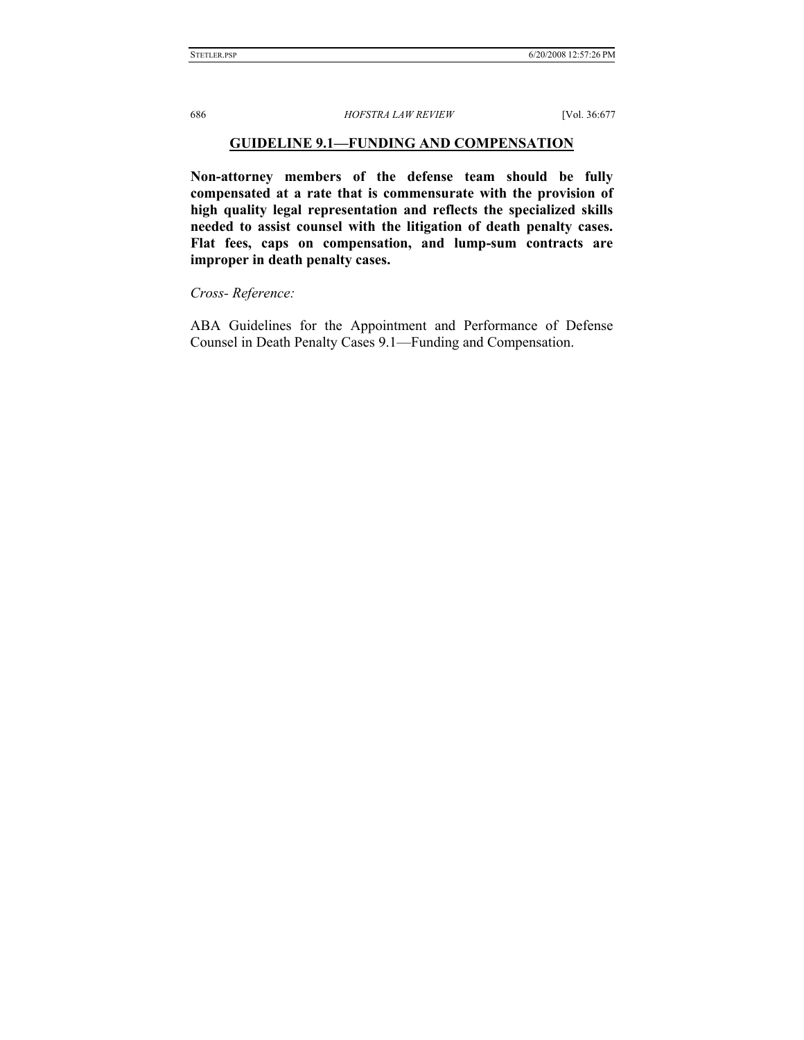### **GUIDELINE 9.1—FUNDING AND COMPENSATION**

**Non-attorney members of the defense team should be fully compensated at a rate that is commensurate with the provision of high quality legal representation and reflects the specialized skills needed to assist counsel with the litigation of death penalty cases. Flat fees, caps on compensation, and lump-sum contracts are improper in death penalty cases.** 

*Cross- Reference:*

ABA Guidelines for the Appointment and Performance of Defense Counsel in Death Penalty Cases 9.1—Funding and Compensation.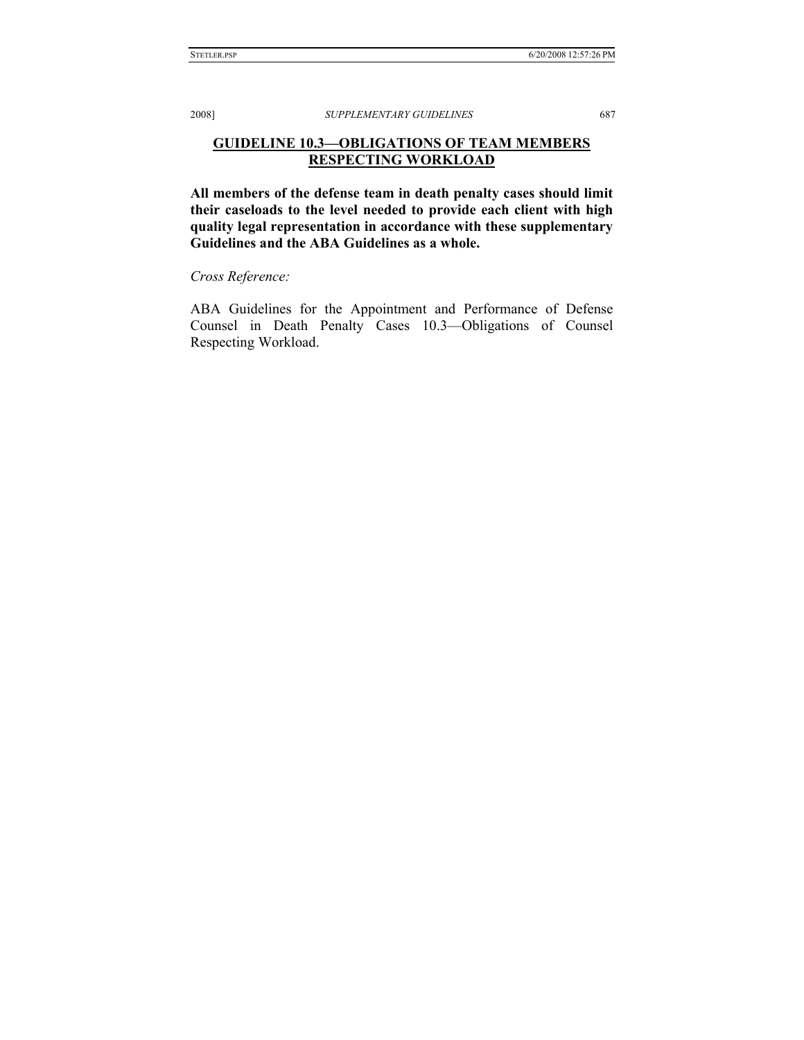# **GUIDELINE 10.3—OBLIGATIONS OF TEAM MEMBERS RESPECTING WORKLOAD**

**All members of the defense team in death penalty cases should limit their caseloads to the level needed to provide each client with high quality legal representation in accordance with these supplementary Guidelines and the ABA Guidelines as a whole.** 

*Cross Reference:*

ABA Guidelines for the Appointment and Performance of Defense Counsel in Death Penalty Cases 10.3—Obligations of Counsel Respecting Workload.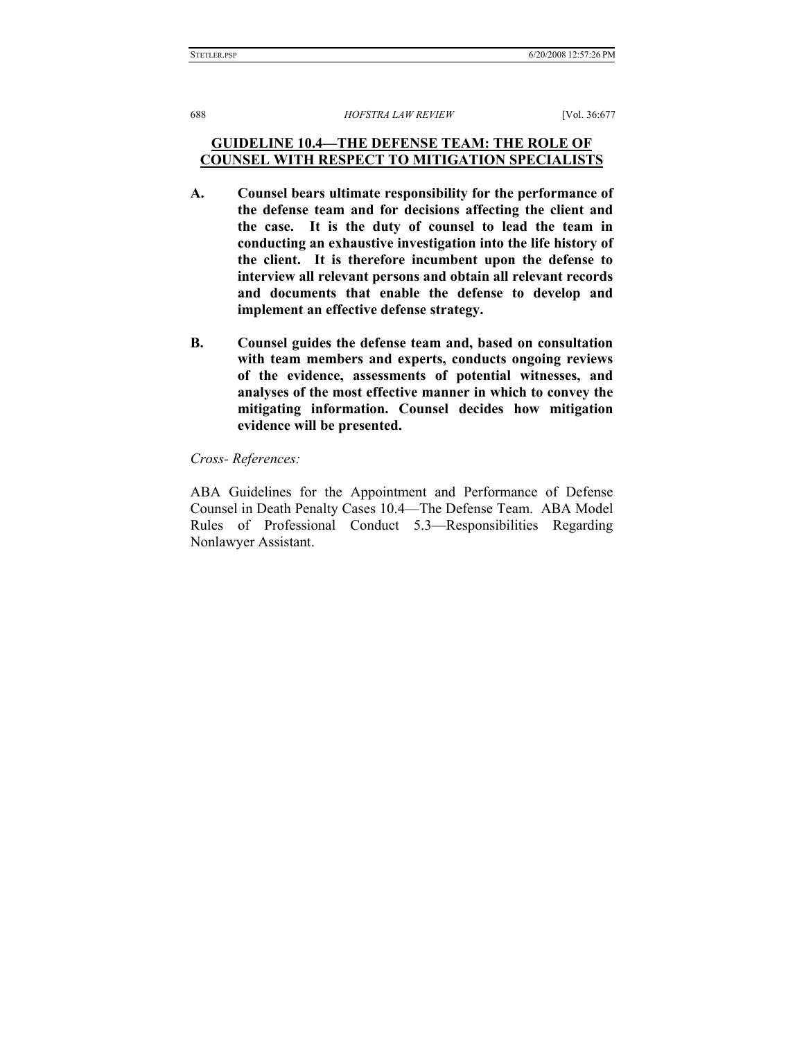# **GUIDELINE 10.4—THE DEFENSE TEAM: THE ROLE OF COUNSEL WITH RESPECT TO MITIGATION SPECIALISTS**

- **A. Counsel bears ultimate responsibility for the performance of the defense team and for decisions affecting the client and the case. It is the duty of counsel to lead the team in conducting an exhaustive investigation into the life history of the client. It is therefore incumbent upon the defense to interview all relevant persons and obtain all relevant records and documents that enable the defense to develop and implement an effective defense strategy.**
- **B. Counsel guides the defense team and, based on consultation with team members and experts, conducts ongoing reviews of the evidence, assessments of potential witnesses, and analyses of the most effective manner in which to convey the mitigating information. Counsel decides how mitigation evidence will be presented.**

#### *Cross- References:*

ABA Guidelines for the Appointment and Performance of Defense Counsel in Death Penalty Cases 10.4—The Defense Team. ABA Model Rules of Professional Conduct 5.3—Responsibilities Regarding Nonlawyer Assistant.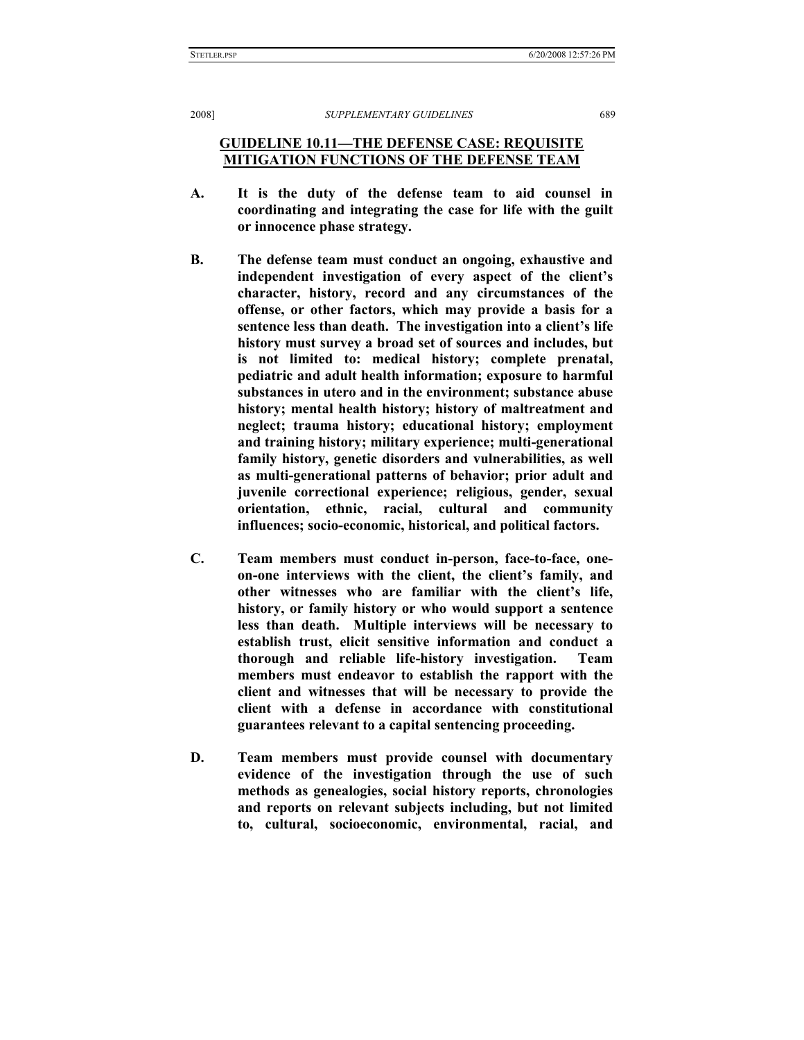**GUIDELINE 10.11—THE DEFENSE CASE: REQUISITE MITIGATION FUNCTIONS OF THE DEFENSE TEAM**

- **A. It is the duty of the defense team to aid counsel in coordinating and integrating the case for life with the guilt or innocence phase strategy.**
- **B. The defense team must conduct an ongoing, exhaustive and independent investigation of every aspect of the client's character, history, record and any circumstances of the offense, or other factors, which may provide a basis for a sentence less than death. The investigation into a client's life history must survey a broad set of sources and includes, but is not limited to: medical history; complete prenatal, pediatric and adult health information; exposure to harmful substances in utero and in the environment; substance abuse history; mental health history; history of maltreatment and neglect; trauma history; educational history; employment and training history; military experience; multi-generational family history, genetic disorders and vulnerabilities, as well as multi-generational patterns of behavior; prior adult and juvenile correctional experience; religious, gender, sexual orientation, ethnic, racial, cultural and community influences; socio-economic, historical, and political factors.**
- **C. Team members must conduct in-person, face-to-face, oneon-one interviews with the client, the client's family, and other witnesses who are familiar with the client's life, history, or family history or who would support a sentence less than death. Multiple interviews will be necessary to establish trust, elicit sensitive information and conduct a thorough and reliable life-history investigation. Team members must endeavor to establish the rapport with the client and witnesses that will be necessary to provide the client with a defense in accordance with constitutional guarantees relevant to a capital sentencing proceeding.**
- **D. Team members must provide counsel with documentary evidence of the investigation through the use of such methods as genealogies, social history reports, chronologies and reports on relevant subjects including, but not limited to, cultural, socioeconomic, environmental, racial, and**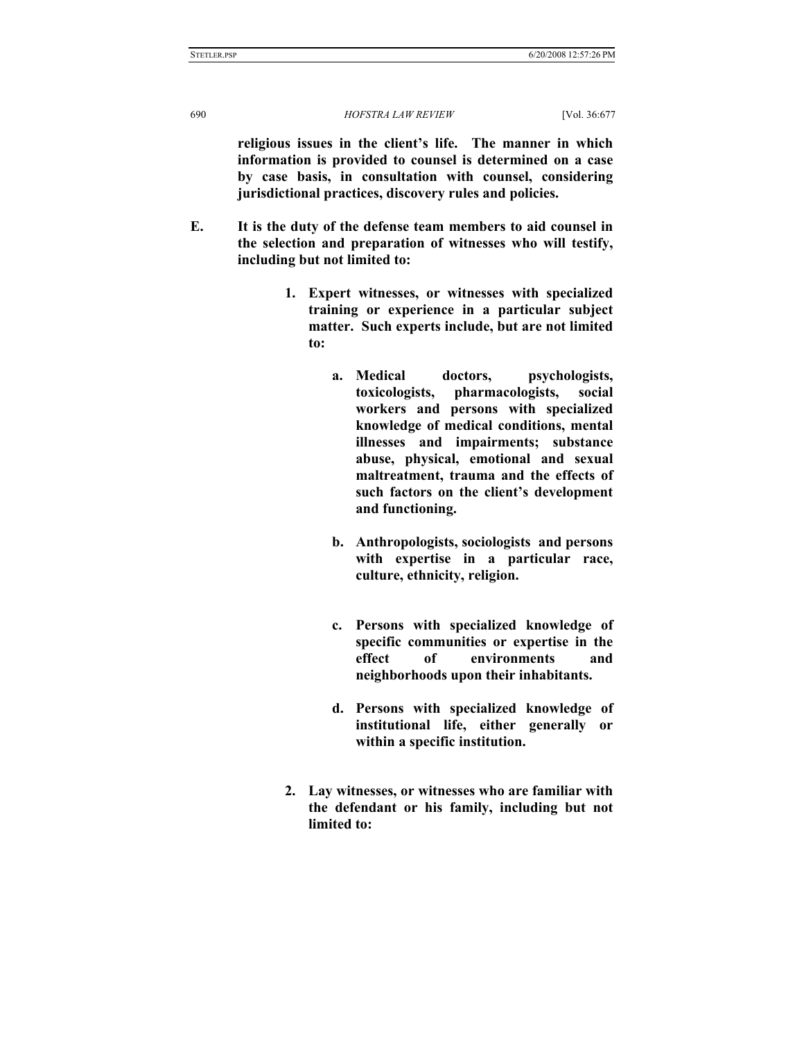**religious issues in the client's life. The manner in which information is provided to counsel is determined on a case by case basis, in consultation with counsel, considering jurisdictional practices, discovery rules and policies.** 

- **E. It is the duty of the defense team members to aid counsel in the selection and preparation of witnesses who will testify, including but not limited to:** 
	- **1. Expert witnesses, or witnesses with specialized training or experience in a particular subject matter. Such experts include, but are not limited to:** 
		- **a. Medical doctors, psychologists, toxicologists, pharmacologists, social workers and persons with specialized knowledge of medical conditions, mental illnesses and impairments; substance abuse, physical, emotional and sexual maltreatment, trauma and the effects of such factors on the client's development and functioning.**
		- **b. Anthropologists, sociologists and persons with expertise in a particular race, culture, ethnicity, religion.**
		- **c. Persons with specialized knowledge of specific communities or expertise in the effect of environments and neighborhoods upon their inhabitants.**
		- **d. Persons with specialized knowledge of institutional life, either generally or within a specific institution.**
	- **2. Lay witnesses, or witnesses who are familiar with the defendant or his family, including but not limited to:**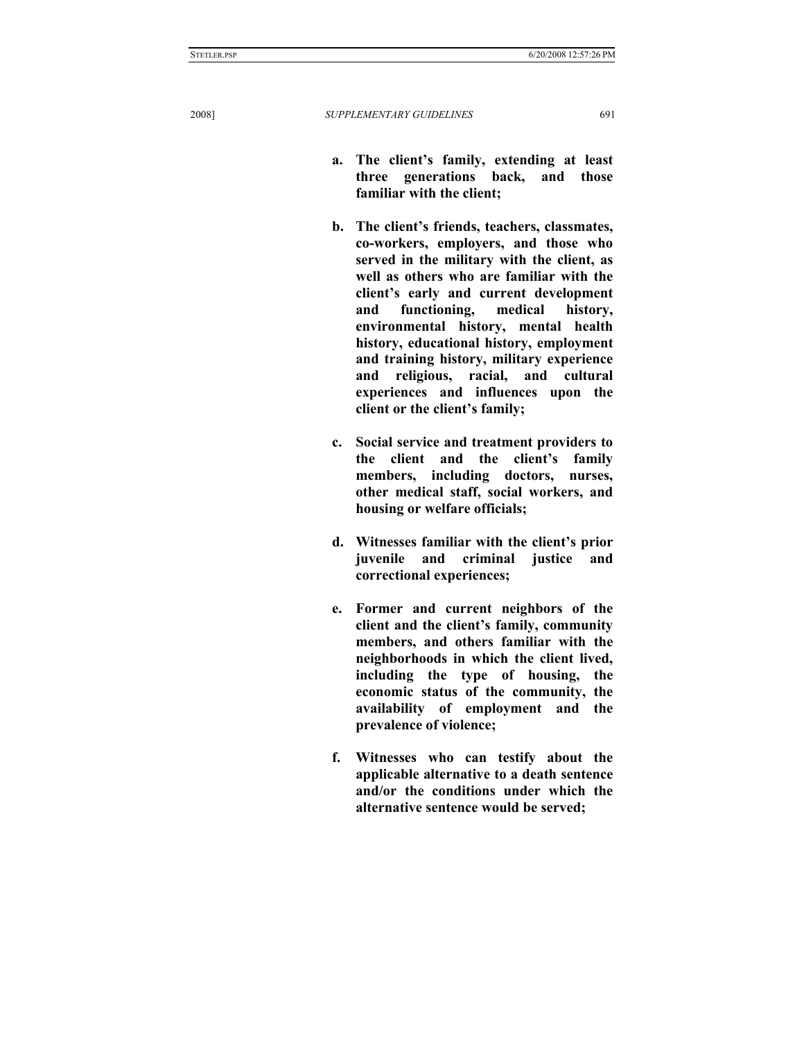- **a. The client's family, extending at least three generations back, and those familiar with the client;**
- **b. The client's friends, teachers, classmates, co-workers, employers, and those who served in the military with the client, as well as others who are familiar with the client's early and current development and functioning, medical history, environmental history, mental health history, educational history, employment and training history, military experience and religious, racial, and cultural experiences and influences upon the client or the client's family;**
- **c. Social service and treatment providers to the client and the client's family members, including doctors, nurses, other medical staff, social workers, and housing or welfare officials;**
- **d. Witnesses familiar with the client's prior juvenile and criminal justice and correctional experiences;**
- **e. Former and current neighbors of the client and the client's family, community members, and others familiar with the neighborhoods in which the client lived, including the type of housing, the economic status of the community, the availability of employment and the prevalence of violence;**
- **f. Witnesses who can testify about the applicable alternative to a death sentence and/or the conditions under which the alternative sentence would be served;**